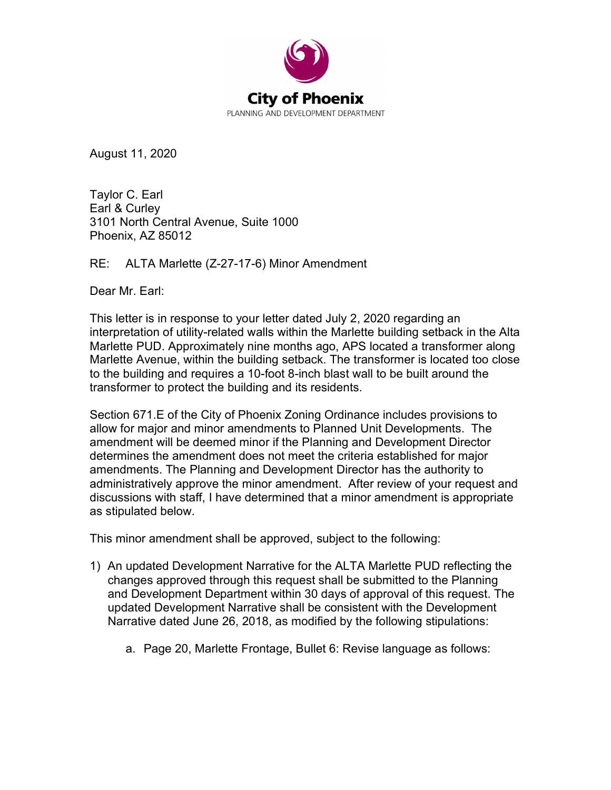

August 11, 2020

Taylor C. Earl Earl & Curley 3101 North Central Avenue, Suite 1000 Phoenix, AZ 85012

RE: ALTA Marlette (Z-27-17-6) Minor Amendment

Dear Mr. Earl:

This letter is in response to your letter dated July 2, 2020 regarding an interpretation of utility-related walls within the Marlette building setback in the Alta Marlette PUD. Approximately nine months ago, APS located a transformer along Marlette Avenue, within the building setback. The transformer is located too close to the building and requires a 10-foot 8-inch blast wall to be built around the transformer to protect the building and its residents.

Section 671.E of the City of Phoenix Zoning Ordinance includes provisions to allow for major and minor amendments to Planned Unit Developments. The amendment will be deemed minor if the Planning and Development Director determines the amendment does not meet the criteria established for major amendments. The Planning and Development Director has the authority to administratively approve the minor amendment. After review of your request and discussions with staff, I have determined that a minor amendment is appropriate as stipulated below.

This minor amendment shall be approved, subject to the following:

- 1) An updated Development Narrative for the ALTA Marlette PUD reflecting the changes approved through this request shall be submitted to the Planning and Development Department within 30 days of approval of this request. The updated Development Narrative shall be consistent with the Development Narrative dated June 26, 2018, as modified by the following stipulations:
	- a. Page 20, Marlette Frontage, Bullet 6: Revise language as follows: